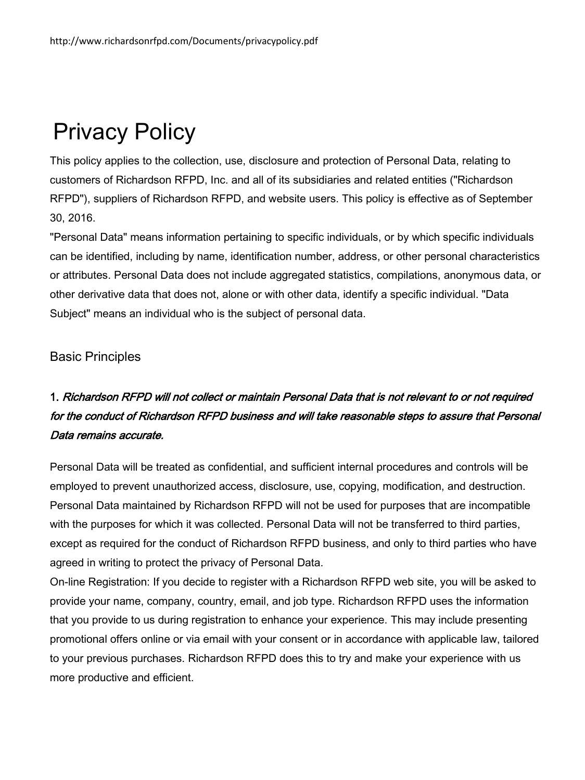# Privacy Policy

This policy applies to the collection, use, disclosure and protection of Personal Data, relating to customers of Richardson RFPD, Inc. and all of its subsidiaries and related entities ("Richardson RFPD"), suppliers of Richardson RFPD, and website users. This policy is effective as of September 30, 2016.

"Personal Data" means information pertaining to specific individuals, or by which specific individuals can be identified, including by name, identification number, address, or other personal characteristics or attributes. Personal Data does not include aggregated statistics, compilations, anonymous data, or other derivative data that does not, alone or with other data, identify a specific individual. "Data Subject" means an individual who is the subject of personal data.

#### Basic Principles

## 1. Richardson RFPD will not collect or maintain Personal Data that is not relevant to or not required for the conduct of Richardson RFPD business and will take reasonable steps to assure that Personal Data remains accurate.

Personal Data will be treated as confidential, and sufficient internal procedures and controls will be employed to prevent unauthorized access, disclosure, use, copying, modification, and destruction. Personal Data maintained by Richardson RFPD will not be used for purposes that are incompatible with the purposes for which it was collected. Personal Data will not be transferred to third parties, except as required for the conduct of Richardson RFPD business, and only to third parties who have agreed in writing to protect the privacy of Personal Data.

On-line Registration: If you decide to register with a Richardson RFPD web site, you will be asked to provide your name, company, country, email, and job type. Richardson RFPD uses the information that you provide to us during registration to enhance your experience. This may include presenting promotional offers online or via email with your consent or in accordance with applicable law, tailored to your previous purchases. Richardson RFPD does this to try and make your experience with us more productive and efficient.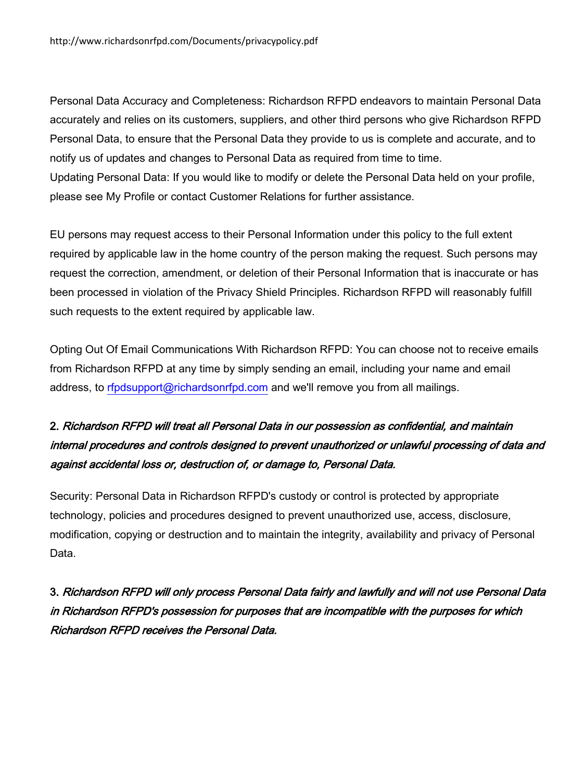Personal Data Accuracy and Completeness: Richardson RFPD endeavors to maintain Personal Data accurately and relies on its customers, suppliers, and other third persons who give Richardson RFPD Personal Data, to ensure that the Personal Data they provide to us is complete and accurate, and to notify us of updates and changes to Personal Data as required from time to time. Updating Personal Data: If you would like to modify or delete the Personal Data held on your profile, please see My Profile or contact Customer Relations for further assistance.

EU persons may request access to their Personal Information under this policy to the full extent required by applicable law in the home country of the person making the request. Such persons may request the correction, amendment, or deletion of their Personal Information that is inaccurate or has been processed in violation of the Privacy Shield Principles. Richardson RFPD will reasonably fulfill such requests to the extent required by applicable law.

Opting Out Of Email Communications With Richardson RFPD: You can choose not to receive emails from Richardson RFPD at any time by simply sending an email, including your name and email address, to [rfpdsupport@richardsonrfpd.com](mailto:rfpdsupport@richardsonrfpd.com) and we'll remove you from all mailings.

### 2. Richardson RFPD will treat all Personal Data in our possession as confidential, and maintain internal procedures and controls designed to prevent unauthorized or unlawful processing of data and against accidental loss or, destruction of, or damage to, Personal Data.

Security: Personal Data in Richardson RFPD's custody or control is protected by appropriate technology, policies and procedures designed to prevent unauthorized use, access, disclosure, modification, copying or destruction and to maintain the integrity, availability and privacy of Personal Data.

3. Richardson RFPD will only process Personal Data fairly and lawfully and will not use Personal Data in Richardson RFPD's possession for purposes that are incompatible with the purposes for which Richardson RFPD receives the Personal Data.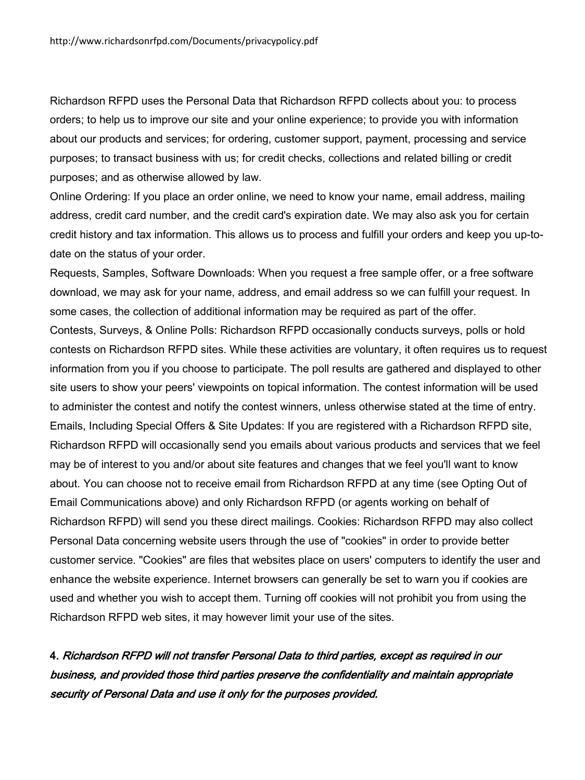Richardson RFPD uses the Personal Data that Richardson RFPD collects about you: to process orders; to help us to improve our site and your online experience; to provide you with information about our products and services; for ordering, customer support, payment, processing and service purposes; to transact business with us; for credit checks, collections and related billing or credit purposes; and as otherwise allowed by law.

Online Ordering: If you place an order online, we need to know your name, email address, mailing address, credit card number, and the credit card's expiration date. We may also ask you for certain credit history and tax information. This allows us to process and fulfill your orders and keep you up-todate on the status of your order.

Requests, Samples, Software Downloads: When you request a free sample offer, or a free software download, we may ask for your name, address, and email address so we can fulfill your request. In some cases, the collection of additional information may be required as part of the offer.

Contests, Surveys, & Online Polls: Richardson RFPD occasionally conducts surveys, polls or hold contests on Richardson RFPD sites. While these activities are voluntary, it often requires us to request information from you if you choose to participate. The poll results are gathered and displayed to other site users to show your peers' viewpoints on topical information. The contest information will be used to administer the contest and notify the contest winners, unless otherwise stated at the time of entry. Emails, Including Special Offers & Site Updates: If you are registered with a Richardson RFPD site, Richardson RFPD will occasionally send you emails about various products and services that we feel may be of interest to you and/or about site features and changes that we feel you'll want to know about. You can choose not to receive email from Richardson RFPD at any time (see Opting Out of Email Communications above) and only Richardson RFPD (or agents working on behalf of Richardson RFPD) will send you these direct mailings. Cookies: Richardson RFPD may also collect Personal Data concerning website users through the use of "cookies" in order to provide better customer service. "Cookies" are files that websites place on users' computers to identify the user and enhance the website experience. Internet browsers can generally be set to warn you if cookies are used and whether you wish to accept them. Turning off cookies will not prohibit you from using the Richardson RFPD web sites, it may however limit your use of the sites.

4. Richardson RFPD will not transfer Personal Data to third parties, except as required in our business, and provided those third parties preserve the confidentiality and maintain appropriate security of Personal Data and use it only for the purposes provided.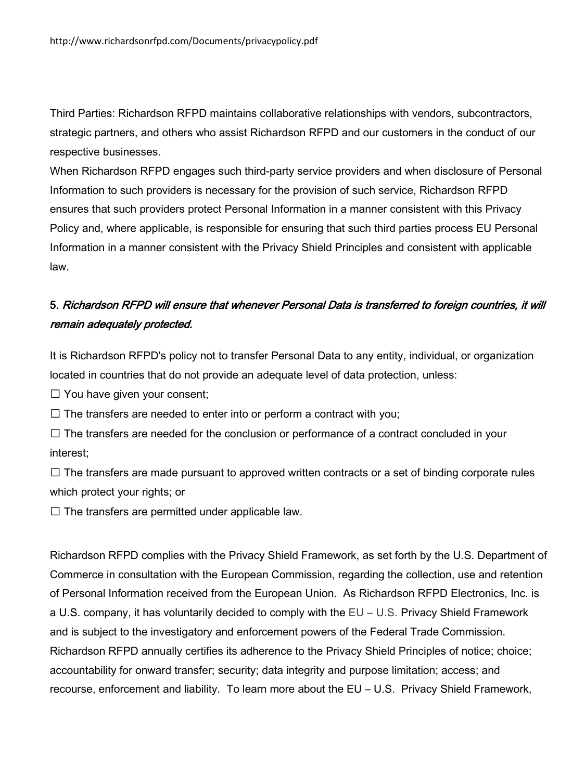Third Parties: Richardson RFPD maintains collaborative relationships with vendors, subcontractors, strategic partners, and others who assist Richardson RFPD and our customers in the conduct of our respective businesses.

When Richardson RFPD engages such third-party service providers and when disclosure of Personal Information to such providers is necessary for the provision of such service, Richardson RFPD ensures that such providers protect Personal Information in a manner consistent with this Privacy Policy and, where applicable, is responsible for ensuring that such third parties process EU Personal Information in a manner consistent with the Privacy Shield Principles and consistent with applicable law.

#### 5. Richardson RFPD will ensure that whenever Personal Data is transferred to foreign countries, it will remain adequately protected.

It is Richardson RFPD's policy not to transfer Personal Data to any entity, individual, or organization located in countries that do not provide an adequate level of data protection, unless:

 $\Box$  You have given your consent;

 $\Box$  The transfers are needed to enter into or perform a contract with you;

 $\Box$  The transfers are needed for the conclusion or performance of a contract concluded in your interest;

 $\Box$  The transfers are made pursuant to approved written contracts or a set of binding corporate rules which protect your rights; or

 $\Box$  The transfers are permitted under applicable law.

Richardson RFPD complies with the Privacy Shield Framework, as set forth by the U.S. Department of Commerce in consultation with the European Commission, regarding the collection, use and retention of Personal Information received from the European Union. As Richardson RFPD Electronics, Inc. is a U.S. company, it has voluntarily decided to comply with the EU – U.S. Privacy Shield Framework and is subject to the investigatory and enforcement powers of the Federal Trade Commission. Richardson RFPD annually certifies its adherence to the Privacy Shield Principles of notice; choice; accountability for onward transfer; security; data integrity and purpose limitation; access; and recourse, enforcement and liability. To learn more about the EU – U.S. Privacy Shield Framework,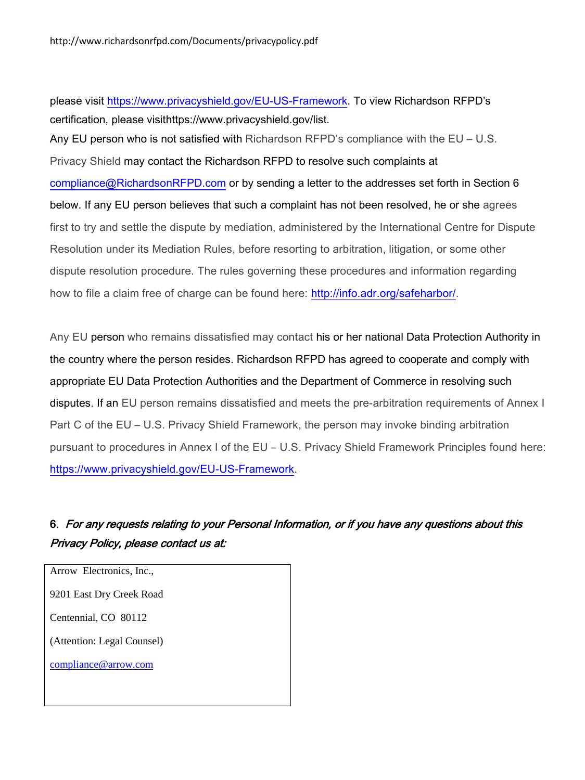please visit [https://www.privacyshield.gov/EU-US-Framework.](https://www.privacyshield.gov/EU-US-Framework) To view Richardson RFPD's certification, please visithttps://www.privacyshield.gov/list.

Any EU person who is not satisfied with Richardson RFPD's compliance with the EU – U.S. Privacy Shield may contact the Richardson RFPD to resolve such complaints at [compliance@RichardsonRFPD.com](mailto:compliance@RichardsonRFPD.com) or by sending a letter to the addresses set forth in Section 6 below. If any EU person believes that such a complaint has not been resolved, he or she agrees first to try and settle the dispute by mediation, administered by the International Centre for Dispute Resolution under its Mediation Rules, before resorting to arbitration, litigation, or some other dispute resolution procedure. The rules governing these procedures and information regarding how to file a claim free of charge can be found here: [http://info.adr.org/safeharbor/.](http://info.adr.org/safeharbor/)

Any EU person who remains dissatisfied may contact his or her national Data Protection Authority in the country where the person resides. Richardson RFPD has agreed to cooperate and comply with appropriate EU Data Protection Authorities and the Department of Commerce in resolving such disputes. If an EU person remains dissatisfied and meets the pre-arbitration requirements of Annex I Part C of the EU – U.S. Privacy Shield Framework, the person may invoke binding arbitration pursuant to procedures in Annex I of the EU – U.S. Privacy Shield Framework Principles found here: [https://www.privacyshield.gov/EU-US-Framework.](https://www.privacyshield.gov/EU-US-Framework)

#### 6. For any requests relating to your Personal Information, or if you have any questions about this Privacy Policy, please contact us at:

Arrow Electronics, Inc., 9201 East Dry Creek Road Centennial, CO 80112 (Attention: Legal Counsel) compliance@arrow.com